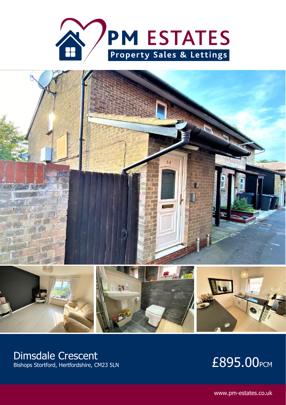



## Dimsdale Crescent

# DITISUALE CLESCELIL<br>Bishops Stortford, Hertfordshire, CM23 5LN **E895.00**PCM

www.pm-estates.co.uk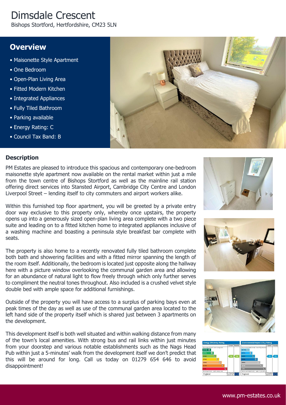# Dimsdale Crescent

Bishops Stortford, Hertfordshire, CM23 5LN

### **Overview**

- Maisonette Style Apartment
- One Bedroom
- Open-Plan Living Area
- Fitted Modern Kitchen
- Integrated Appliances
- Fully Tiled Bathroom
- Parking available
- Energy Rating: C
- Council Tax Band: B



#### **Description**

PM Estates are pleased to introduce this spacious and contemporary one-bedroom maisonette style apartment now available on the rental market within just a mile from the town centre of Bishops Stortford as well as the mainline rail station offering direct services into Stansted Airport, Cambridge City Centre and London Liverpool Street – lending itself to city commuters and airport workers alike.

Within this furnished top floor apartment, you will be greeted by a private entry door way exclusive to this property only, whereby once upstairs, the property opens up into a generously sized open-plan living area complete with a two piece suite and leading on to a fitted kitchen home to integrated appliances inclusive of a washing machine and boasting a peninsula style breakfast bar complete with seats.

The property is also home to a recently renovated fully tiled bathroom complete both bath and showering facilities and with a fitted mirror spanning the length of the room itself. Additionally, the bedroom is located just opposite along the hallway here with a picture window overlooking the communal garden area and allowing for an abundance of natural light to flow freely through which only further serves to compliment the neutral tones throughout. Also included is a crushed velvet style double bed with ample space for additional furnishings.

Outside of the property you will have access to a surplus of parking bays even at peak times of the day as well as use of the communal garden area located to the left hand side of the property itself which is shared just between 3 apartments on the development.

This development itself is both well situated and within walking distance from many of the town's local amenities. With strong bus and rail links within just minutes from your doorstep and various notable establishments such as the Nags Head Pub within just a 5-minutes' walk from the development itself we don't predict that this will be around for long. Call us today on 01279 654 646 to avoid disappointment!